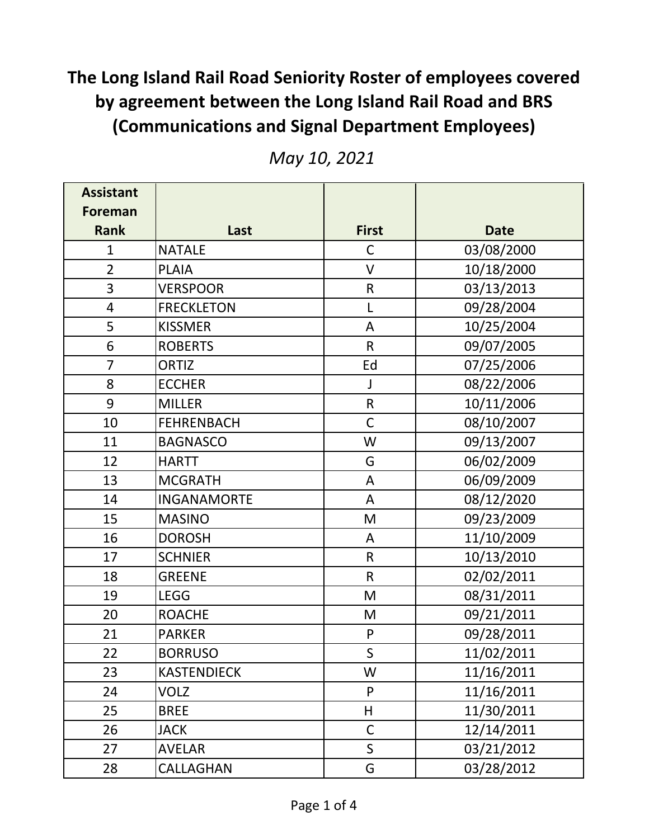| <b>Assistant</b> |                    |              |             |
|------------------|--------------------|--------------|-------------|
| Foreman          |                    |              |             |
| <b>Rank</b>      | Last               | <b>First</b> | <b>Date</b> |
| $\overline{1}$   | <b>NATALE</b>      | $\mathsf C$  | 03/08/2000  |
| $\overline{2}$   | <b>PLAIA</b>       | $\vee$       | 10/18/2000  |
| 3                | <b>VERSPOOR</b>    | $\mathsf R$  | 03/13/2013  |
| $\overline{4}$   | <b>FRECKLETON</b>  | L            | 09/28/2004  |
| 5                | <b>KISSMER</b>     | A            | 10/25/2004  |
| 6                | <b>ROBERTS</b>     | $\mathsf{R}$ | 09/07/2005  |
| $\overline{7}$   | <b>ORTIZ</b>       | Ed           | 07/25/2006  |
| 8                | <b>ECCHER</b>      | $\mathsf J$  | 08/22/2006  |
| 9                | <b>MILLER</b>      | $\mathsf{R}$ | 10/11/2006  |
| 10               | <b>FEHRENBACH</b>  | $\mathsf C$  | 08/10/2007  |
| 11               | <b>BAGNASCO</b>    | W            | 09/13/2007  |
| 12               | <b>HARTT</b>       | G            | 06/02/2009  |
| 13               | <b>MCGRATH</b>     | A            | 06/09/2009  |
| 14               | <b>INGANAMORTE</b> | A            | 08/12/2020  |
| 15               | <b>MASINO</b>      | M            | 09/23/2009  |
| 16               | <b>DOROSH</b>      | A            | 11/10/2009  |
| 17               | <b>SCHNIER</b>     | ${\sf R}$    | 10/13/2010  |
| 18               | <b>GREENE</b>      | $\mathsf R$  | 02/02/2011  |
| 19               | <b>LEGG</b>        | M            | 08/31/2011  |
| 20               | <b>ROACHE</b>      | M            | 09/21/2011  |
| 21               | <b>PARKER</b>      | $\mathsf{P}$ | 09/28/2011  |
| 22               | <b>BORRUSO</b>     | $\mathsf S$  | 11/02/2011  |
| 23               | <b>KASTENDIECK</b> | W            | 11/16/2011  |
| 24               | VOLZ               | P            | 11/16/2011  |
| 25               | <b>BREE</b>        | H            | 11/30/2011  |
| 26               | <b>JACK</b>        | $\mathsf C$  | 12/14/2011  |
| 27               | <b>AVELAR</b>      | $\mathsf{S}$ | 03/21/2012  |
| 28               | CALLAGHAN          | G            | 03/28/2012  |

*May 10, 2021*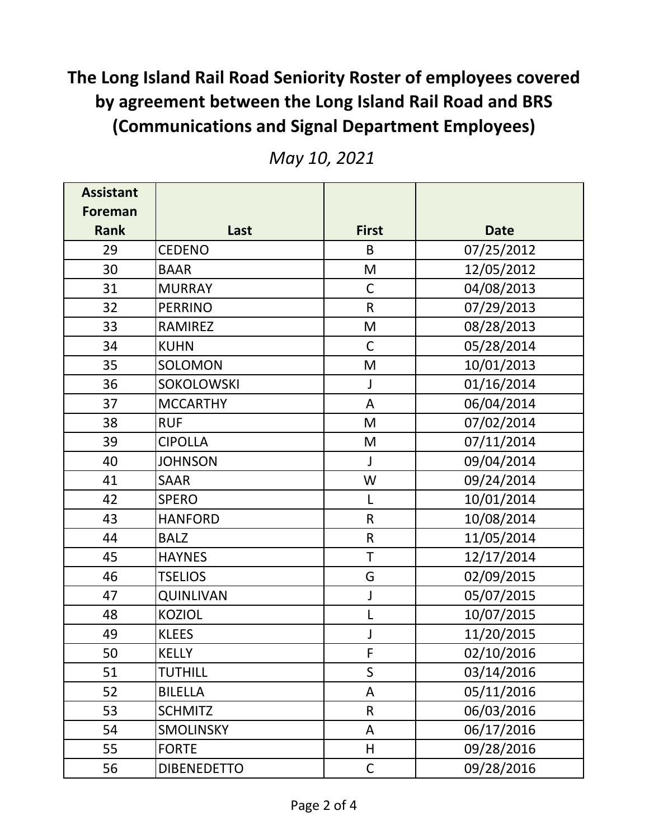| <b>Assistant</b> |                    |              |             |
|------------------|--------------------|--------------|-------------|
| Foreman          |                    |              |             |
| <b>Rank</b>      | Last               | <b>First</b> | <b>Date</b> |
| 29               | <b>CEDENO</b>      | B            | 07/25/2012  |
| 30               | <b>BAAR</b>        | M            | 12/05/2012  |
| 31               | <b>MURRAY</b>      | $\mathsf C$  | 04/08/2013  |
| 32               | <b>PERRINO</b>     | $\mathsf{R}$ | 07/29/2013  |
| 33               | <b>RAMIREZ</b>     | M            | 08/28/2013  |
| 34               | <b>KUHN</b>        | $\mathsf C$  | 05/28/2014  |
| 35               | SOLOMON            | M            | 10/01/2013  |
| 36               | <b>SOKOLOWSKI</b>  | $\mathsf J$  | 01/16/2014  |
| 37               | <b>MCCARTHY</b>    | A            | 06/04/2014  |
| 38               | <b>RUF</b>         | M            | 07/02/2014  |
| 39               | <b>CIPOLLA</b>     | M            | 07/11/2014  |
| 40               | <b>JOHNSON</b>     | $\mathsf{J}$ | 09/04/2014  |
| 41               | <b>SAAR</b>        | W            | 09/24/2014  |
| 42               | <b>SPERO</b>       | L            | 10/01/2014  |
| 43               | <b>HANFORD</b>     | ${\sf R}$    | 10/08/2014  |
| 44               | <b>BALZ</b>        | ${\sf R}$    | 11/05/2014  |
| 45               | <b>HAYNES</b>      | T            | 12/17/2014  |
| 46               | <b>TSELIOS</b>     | G            | 02/09/2015  |
| 47               | <b>QUINLIVAN</b>   | J            | 05/07/2015  |
| 48               | <b>KOZIOL</b>      | L            | 10/07/2015  |
| 49               | <b>KLEES</b>       | J            | 11/20/2015  |
| 50               | <b>KELLY</b>       | F            | 02/10/2016  |
| 51               | TUTHILL            | $\mathsf{S}$ | 03/14/2016  |
| 52               | <b>BILELLA</b>     | A            | 05/11/2016  |
| 53               | <b>SCHMITZ</b>     | $\mathsf R$  | 06/03/2016  |
| 54               | <b>SMOLINSKY</b>   | A            | 06/17/2016  |
| 55               | <b>FORTE</b>       | H            | 09/28/2016  |
| 56               | <b>DIBENEDETTO</b> | $\mathsf C$  | 09/28/2016  |

*May 10, 2021*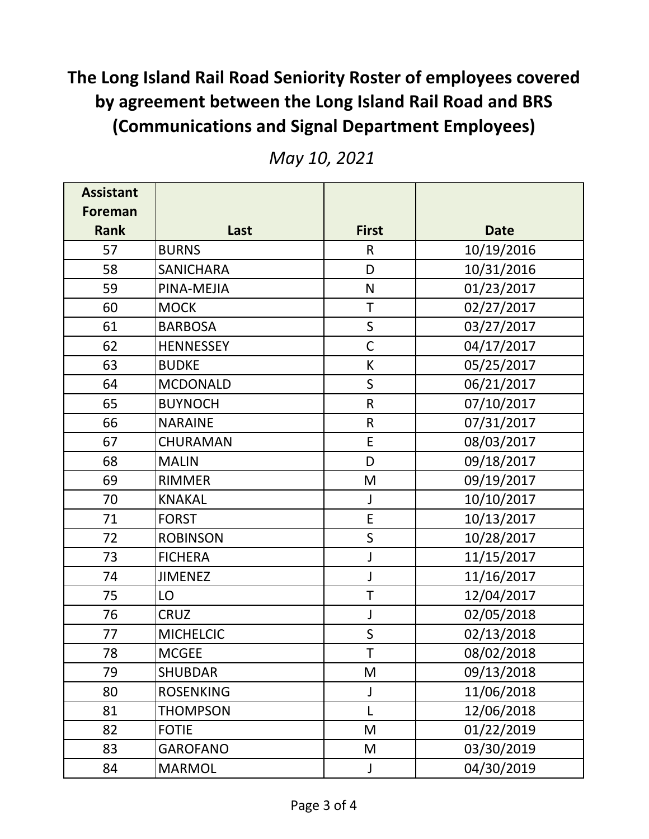| <b>Assistant</b> |                  |              |             |
|------------------|------------------|--------------|-------------|
| Foreman          |                  |              |             |
| <b>Rank</b>      | Last             | <b>First</b> | <b>Date</b> |
| 57               | <b>BURNS</b>     | $\mathsf{R}$ | 10/19/2016  |
| 58               | <b>SANICHARA</b> | D            | 10/31/2016  |
| 59               | PINA-MEJIA       | N            | 01/23/2017  |
| 60               | <b>MOCK</b>      | $\mathsf T$  | 02/27/2017  |
| 61               | <b>BARBOSA</b>   | $\mathsf{S}$ | 03/27/2017  |
| 62               | <b>HENNESSEY</b> | $\mathsf C$  | 04/17/2017  |
| 63               | <b>BUDKE</b>     | К            | 05/25/2017  |
| 64               | <b>MCDONALD</b>  | $\mathsf{S}$ | 06/21/2017  |
| 65               | <b>BUYNOCH</b>   | $\mathsf{R}$ | 07/10/2017  |
| 66               | <b>NARAINE</b>   | $\mathsf R$  | 07/31/2017  |
| 67               | <b>CHURAMAN</b>  | E            | 08/03/2017  |
| 68               | <b>MALIN</b>     | D            | 09/18/2017  |
| 69               | <b>RIMMER</b>    | M            | 09/19/2017  |
| 70               | <b>KNAKAL</b>    | J            | 10/10/2017  |
| 71               | <b>FORST</b>     | E            | 10/13/2017  |
| 72               | <b>ROBINSON</b>  | S            | 10/28/2017  |
| 73               | <b>FICHERA</b>   | J            | 11/15/2017  |
| 74               | <b>JIMENEZ</b>   | J            | 11/16/2017  |
| 75               | LO               | T            | 12/04/2017  |
| 76               | <b>CRUZ</b>      | J            | 02/05/2018  |
| 77               | <b>MICHELCIC</b> | $\mathsf S$  | 02/13/2018  |
| 78               | <b>MCGEE</b>     | T            | 08/02/2018  |
| 79               | <b>SHUBDAR</b>   | M            | 09/13/2018  |
| 80               | <b>ROSENKING</b> | J            | 11/06/2018  |
| 81               | <b>THOMPSON</b>  | L            | 12/06/2018  |
| 82               | <b>FOTIE</b>     | M            | 01/22/2019  |
| 83               | <b>GAROFANO</b>  | M            | 03/30/2019  |
| 84               | <b>MARMOL</b>    | J            | 04/30/2019  |

*May 10, 2021*